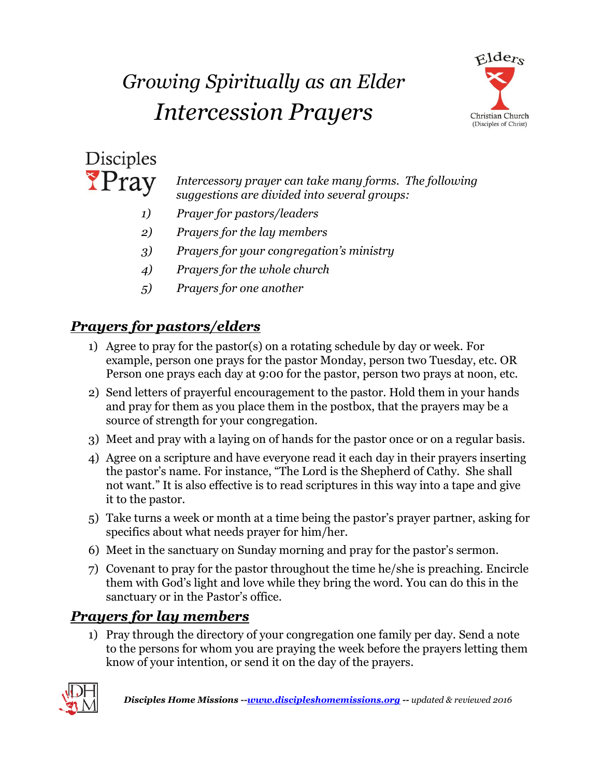# *Growing Spiritually as an Elder Intercession Prayers*





*Intercessory prayer can take many forms. The following suggestions are divided into several groups:*

- *1) Prayer for pastors/leaders*
- *2) Prayers for the lay members*
- *3) Prayers for your congregation's ministry*
- *4) Prayers for the whole church*
- *5) Prayers for one another*

## *Prayers for pastors/elders*

- 1) Agree to pray for the pastor(s) on a rotating schedule by day or week. For example, person one prays for the pastor Monday, person two Tuesday, etc. OR Person one prays each day at 9:00 for the pastor, person two prays at noon, etc.
- 2) Send letters of prayerful encouragement to the pastor. Hold them in your hands and pray for them as you place them in the postbox, that the prayers may be a source of strength for your congregation.
- 3) Meet and pray with a laying on of hands for the pastor once or on a regular basis.
- 4) Agree on a scripture and have everyone read it each day in their prayers inserting the pastor's name. For instance, "The Lord is the Shepherd of Cathy. She shall not want." It is also effective is to read scriptures in this way into a tape and give it to the pastor.
- 5) Take turns a week or month at a time being the pastor's prayer partner, asking for specifics about what needs prayer for him/her.
- 6) Meet in the sanctuary on Sunday morning and pray for the pastor's sermon.
- 7) Covenant to pray for the pastor throughout the time he/she is preaching. Encircle them with God's light and love while they bring the word. You can do this in the sanctuary or in the Pastor's office.

## *Prayers for lay members*

1) Pray through the directory of your congregation one family per day. Send a note to the persons for whom you are praying the week before the prayers letting them know of your intention, or send it on the day of the prayers.

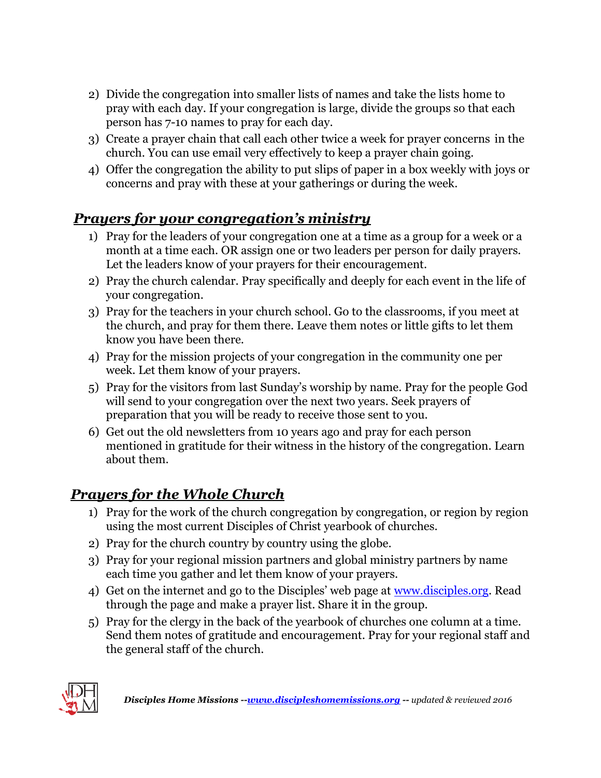- 2) Divide the congregation into smaller lists of names and take the lists home to pray with each day. If your congregation is large, divide the groups so that each person has 7-10 names to pray for each day.
- 3) Create a prayer chain that call each other twice a week for prayer concerns in the church. You can use email very effectively to keep a prayer chain going.
- 4) Offer the congregation the ability to put slips of paper in a box weekly with joys or concerns and pray with these at your gatherings or during the week.

#### *Prayers for your congregation's ministry*

- 1) Pray for the leaders of your congregation one at a time as a group for a week or a month at a time each. OR assign one or two leaders per person for daily prayers. Let the leaders know of your prayers for their encouragement.
- 2) Pray the church calendar. Pray specifically and deeply for each event in the life of your congregation.
- 3) Pray for the teachers in your church school. Go to the classrooms, if you meet at the church, and pray for them there. Leave them notes or little gifts to let them know you have been there.
- 4) Pray for the mission projects of your congregation in the community one per week. Let them know of your prayers.
- 5) Pray for the visitors from last Sunday's worship by name. Pray for the people God will send to your congregation over the next two years. Seek prayers of preparation that you will be ready to receive those sent to you.
- 6) Get out the old newsletters from 10 years ago and pray for each person mentioned in gratitude for their witness in the history of the congregation. Learn about them.

### *Prayers for the Whole Church*

- 1) Pray for the work of the church congregation by congregation, or region by region using the most current Disciples of Christ yearbook of churches.
- 2) Pray for the church country by country using the globe.
- 3) Pray for your regional mission partners and global ministry partners by name each time you gather and let them know of your prayers.
- 4) Get on the internet and go to the Disciples' web page at [www.disciples.org.](http://www.disciples.org/) Read through the page and make a prayer list. Share it in the group.
- 5) Pray for the clergy in the back of the yearbook of churches one column at a time. Send them notes of gratitude and encouragement. Pray for your regional staff and the general staff of the church.